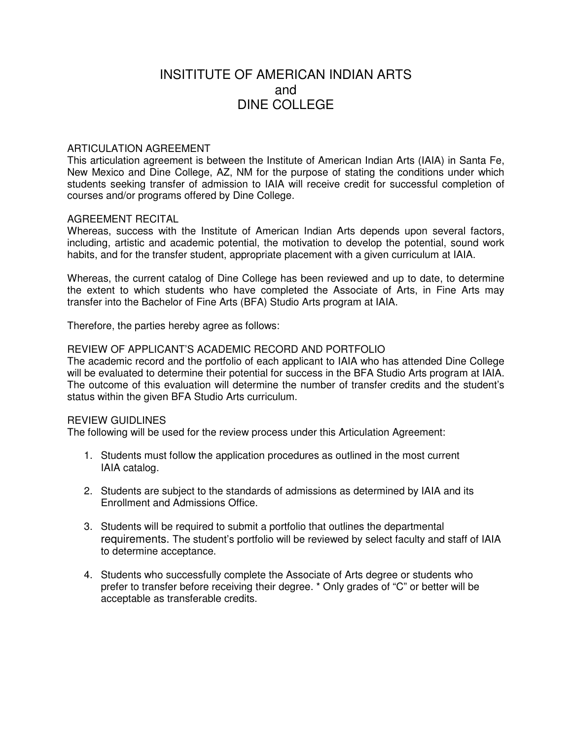# INSITITUTE OF AMERICAN INDIAN ARTS and DINE COLLEGE

## ARTICULATION AGREEMENT

This articulation agreement is between the Institute of American Indian Arts (IAIA) in Santa Fe, New Mexico and Dine College, AZ, NM for the purpose of stating the conditions under which students seeking transfer of admission to IAIA will receive credit for successful completion of courses and/or programs offered by Dine College.

#### AGREEMENT RECITAL

Whereas, success with the Institute of American Indian Arts depends upon several factors, including, artistic and academic potential, the motivation to develop the potential, sound work habits, and for the transfer student, appropriate placement with a given curriculum at IAIA.

Whereas, the current catalog of Dine College has been reviewed and up to date, to determine the extent to which students who have completed the Associate of Arts, in Fine Arts may transfer into the Bachelor of Fine Arts (BFA) Studio Arts program at IAIA.

Therefore, the parties hereby agree as follows:

## REVIEW OF APPLICANT'S ACADEMIC RECORD AND PORTFOLIO

The academic record and the portfolio of each applicant to IAIA who has attended Dine College will be evaluated to determine their potential for success in the BFA Studio Arts program at IAIA. The outcome of this evaluation will determine the number of transfer credits and the student's status within the given BFA Studio Arts curriculum.

# REVIEW GUIDLINES

The following will be used for the review process under this Articulation Agreement:

- 1. Students must follow the application procedures as outlined in the most current IAIA catalog.
- 2. Students are subject to the standards of admissions as determined by IAIA and its Enrollment and Admissions Office.
- 3. Students will be required to submit a portfolio that outlines the departmental requirements. The student's portfolio will be reviewed by select faculty and staff of IAIA to determine acceptance.
- 4. Students who successfully complete the Associate of Arts degree or students who prefer to transfer before receiving their degree. \* Only grades of "C" or better will be acceptable as transferable credits.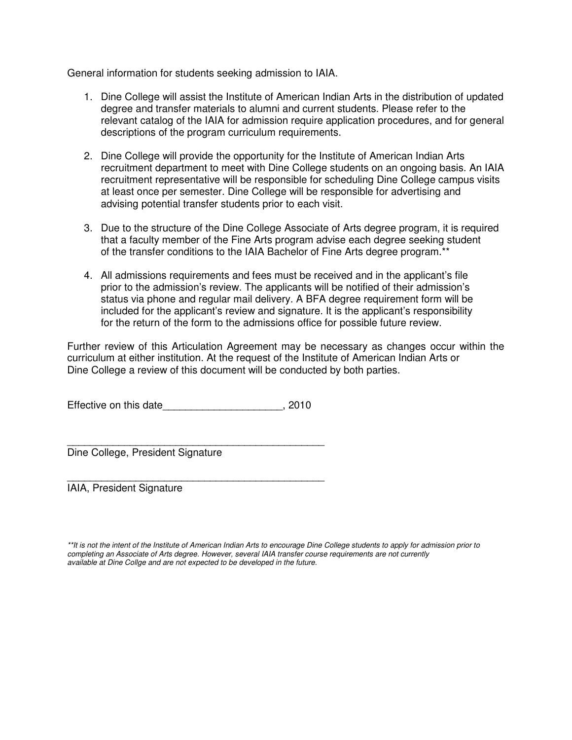General information for students seeking admission to IAIA.

- 1. Dine College will assist the Institute of American Indian Arts in the distribution of updated degree and transfer materials to alumni and current students. Please refer to the relevant catalog of the IAIA for admission require application procedures, and for general descriptions of the program curriculum requirements.
- 2. Dine College will provide the opportunity for the Institute of American Indian Arts recruitment department to meet with Dine College students on an ongoing basis. An IAIA recruitment representative will be responsible for scheduling Dine College campus visits at least once per semester. Dine College will be responsible for advertising and advising potential transfer students prior to each visit.
- 3. Due to the structure of the Dine College Associate of Arts degree program, it is required that a faculty member of the Fine Arts program advise each degree seeking student of the transfer conditions to the IAIA Bachelor of Fine Arts degree program.\*\*
- 4. All admissions requirements and fees must be received and in the applicant's file prior to the admission's review. The applicants will be notified of their admission's status via phone and regular mail delivery. A BFA degree requirement form will be included for the applicant's review and signature. It is the applicant's responsibility for the return of the form to the admissions office for possible future review.

Further review of this Articulation Agreement may be necessary as changes occur within the curriculum at either institution. At the request of the Institute of American Indian Arts or Dine College a review of this document will be conducted by both parties.

Effective on this date\_\_\_\_\_\_\_\_\_\_\_\_\_\_\_\_\_\_\_\_\_\_\_, 2010

\_\_\_\_\_\_\_\_\_\_\_\_\_\_\_\_\_\_\_\_\_\_\_\_\_\_\_\_\_\_\_\_\_\_\_\_\_\_\_\_\_\_\_\_\_

\_\_\_\_\_\_\_\_\_\_\_\_\_\_\_\_\_\_\_\_\_\_\_\_\_\_\_\_\_\_\_\_\_\_\_\_\_\_\_\_\_\_\_\_\_ Dine College, President Signature

IAIA, President Signature

<sup>\*\*</sup>It is not the intent of the Institute of American Indian Arts to encourage Dine College students to apply for admission prior to completing an Associate of Arts degree. However, several IAIA transfer course requirements are not currently available at Dine Collge and are not expected to be developed in the future.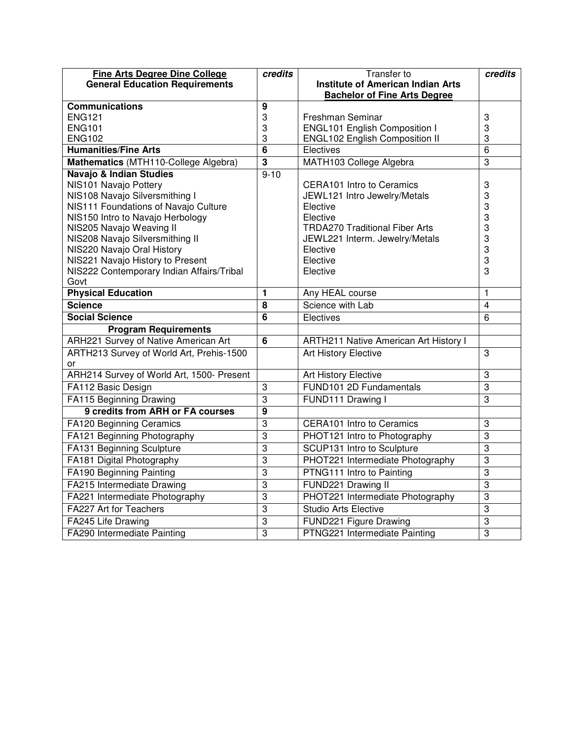| <b>Fine Arts Degree Dine College</b>           | credits                 | Transfer to                                  | credits        |
|------------------------------------------------|-------------------------|----------------------------------------------|----------------|
| <b>General Education Requirements</b>          |                         | <b>Institute of American Indian Arts</b>     |                |
|                                                |                         | <b>Bachelor of Fine Arts Degree</b>          |                |
| <b>Communications</b>                          | 9                       |                                              |                |
| <b>ENG121</b>                                  | 3                       | Freshman Seminar                             | 3              |
| <b>ENG101</b>                                  | 3                       | <b>ENGL101 English Composition I</b>         | 3              |
| <b>ENG102</b>                                  | 3                       | ENGL102 English Composition II               | 3              |
| <b>Humanities/Fine Arts</b>                    | $\overline{6}$          | Electives                                    | 6              |
| Mathematics (MTH110-College Algebra)           | $\overline{\mathbf{3}}$ | MATH103 College Algebra                      | $\overline{3}$ |
| <b>Navajo &amp; Indian Studies</b>             | $9 - 10$                |                                              |                |
| NIS101 Navajo Pottery                          |                         | <b>CERA101 Intro to Ceramics</b>             | 3              |
| NIS108 Navajo Silversmithing I                 |                         | JEWL121 Intro Jewelry/Metals                 | 3              |
| NIS111 Foundations of Navajo Culture           |                         | Elective                                     | 3              |
| NIS150 Intro to Navajo Herbology               |                         | Elective                                     | 3              |
| NIS205 Navajo Weaving II                       |                         | <b>TRDA270 Traditional Fiber Arts</b>        | 3              |
| NIS208 Navajo Silversmithing II                |                         | JEWL221 Interm. Jewelry/Metals               | 3              |
| NIS220 Navajo Oral History                     |                         | Elective                                     | 3              |
| NIS221 Navajo History to Present               |                         | Elective                                     | 3              |
| NIS222 Contemporary Indian Affairs/Tribal      |                         | Elective                                     | 3              |
| Govt<br><b>Physical Education</b>              | 1                       |                                              | 1              |
| <b>Science</b>                                 | $\overline{8}$          | Any HEAL course<br>Science with Lab          | 4              |
| <b>Social Science</b>                          | $\overline{6}$          | Electives                                    | 6              |
|                                                |                         |                                              |                |
| <b>Program Requirements</b>                    | $6\phantom{1}$          |                                              |                |
| ARH221 Survey of Native American Art           |                         | <b>ARTH211 Native American Art History I</b> |                |
| ARTH213 Survey of World Art, Prehis-1500<br>or |                         | <b>Art History Elective</b>                  | 3              |
| ARH214 Survey of World Art, 1500- Present      |                         | <b>Art History Elective</b>                  | 3              |
| FA112 Basic Design                             | 3                       | FUND101 2D Fundamentals                      | $\overline{3}$ |
| <b>FA115 Beginning Drawing</b>                 | $\overline{3}$          | FUND111 Drawing I                            | 3              |
| 9 credits from ARH or FA courses               | 9                       |                                              |                |
| FA120 Beginning Ceramics                       | $\overline{3}$          | <b>CERA101</b> Intro to Ceramics             | 3              |
| FA121 Beginning Photography                    | $\overline{3}$          | PHOT121 Intro to Photography                 | $\overline{3}$ |
| FA131 Beginning Sculpture                      | $\overline{3}$          | <b>SCUP131 Intro to Sculpture</b>            | $\overline{3}$ |
| FA181 Digital Photography                      | 3                       | PHOT221 Intermediate Photography             | 3              |
| FA190 Beginning Painting                       | 3                       | PTNG111 Intro to Painting                    | 3              |
| FA215 Intermediate Drawing                     | $\overline{3}$          | FUND221 Drawing II                           | $\overline{3}$ |
| FA221 Intermediate Photography                 | 3                       | PHOT221 Intermediate Photography             | 3              |
| FA227 Art for Teachers                         | $\overline{3}$          | <b>Studio Arts Elective</b>                  | $\overline{3}$ |
| FA245 Life Drawing                             | $\overline{3}$          | FUND221 Figure Drawing                       | $\overline{3}$ |
| FA290 Intermediate Painting                    | $\overline{3}$          | PTNG221 Intermediate Painting                | $\overline{3}$ |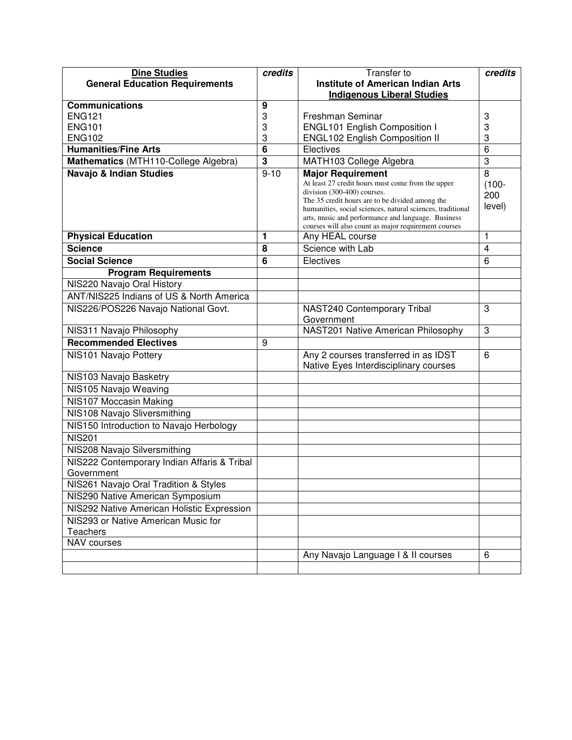| <b>Dine Studies</b>                         | credits                 | <b>Transfer to</b>                                                                                                                                                                                                                                                                                                                          | credits                        |
|---------------------------------------------|-------------------------|---------------------------------------------------------------------------------------------------------------------------------------------------------------------------------------------------------------------------------------------------------------------------------------------------------------------------------------------|--------------------------------|
| <b>General Education Requirements</b>       |                         | <b>Institute of American Indian Arts</b>                                                                                                                                                                                                                                                                                                    |                                |
|                                             |                         | <b>Indigenous Liberal Studies</b>                                                                                                                                                                                                                                                                                                           |                                |
| <b>Communications</b>                       | 9                       |                                                                                                                                                                                                                                                                                                                                             |                                |
| <b>ENG121</b>                               | 3                       | Freshman Seminar                                                                                                                                                                                                                                                                                                                            | 3                              |
| <b>ENG101</b>                               | 3                       | <b>ENGL101 English Composition I</b>                                                                                                                                                                                                                                                                                                        | 3                              |
| <b>ENG102</b>                               | 3                       | <b>ENGL102 English Composition II</b>                                                                                                                                                                                                                                                                                                       | 3                              |
| <b>Humanities/Fine Arts</b>                 | 6                       | Electives                                                                                                                                                                                                                                                                                                                                   | 6                              |
| Mathematics (MTH110-College Algebra)        | $\overline{\mathbf{3}}$ | MATH103 College Algebra                                                                                                                                                                                                                                                                                                                     | 3                              |
| <b>Navajo &amp; Indian Studies</b>          | $9 - 10$                | <b>Major Requirement</b><br>At least 27 credit hours must come from the upper<br>division (300-400) courses.<br>The 35 credit hours are to be divided among the<br>humanities, social sciences, natural sciences, traditional<br>arts, music and performance and language. Business<br>courses will also count as major requirement courses | 8<br>$(100 -$<br>200<br>level) |
| <b>Physical Education</b>                   | 1                       | Any HEAL course                                                                                                                                                                                                                                                                                                                             | 1                              |
| <b>Science</b>                              | 8                       | Science with Lab                                                                                                                                                                                                                                                                                                                            | $\overline{4}$                 |
| <b>Social Science</b>                       | 6                       | Electives                                                                                                                                                                                                                                                                                                                                   | 6                              |
| <b>Program Requirements</b>                 |                         |                                                                                                                                                                                                                                                                                                                                             |                                |
| NIS220 Navajo Oral History                  |                         |                                                                                                                                                                                                                                                                                                                                             |                                |
| ANT/NIS225 Indians of US & North America    |                         |                                                                                                                                                                                                                                                                                                                                             |                                |
| NIS226/POS226 Navajo National Govt.         |                         | NAST240 Contemporary Tribal<br>Government                                                                                                                                                                                                                                                                                                   | 3                              |
| NIS311 Navajo Philosophy                    |                         | NAST201 Native American Philosophy                                                                                                                                                                                                                                                                                                          | 3                              |
| <b>Recommended Electives</b>                | 9                       |                                                                                                                                                                                                                                                                                                                                             |                                |
| NIS101 Navajo Pottery                       |                         | Any 2 courses transferred in as IDST<br>Native Eyes Interdisciplinary courses                                                                                                                                                                                                                                                               | 6                              |
| NIS103 Navajo Basketry                      |                         |                                                                                                                                                                                                                                                                                                                                             |                                |
| NIS105 Navajo Weaving                       |                         |                                                                                                                                                                                                                                                                                                                                             |                                |
| NIS107 Moccasin Making                      |                         |                                                                                                                                                                                                                                                                                                                                             |                                |
| NIS108 Navajo Sliversmithing                |                         |                                                                                                                                                                                                                                                                                                                                             |                                |
| NIS150 Introduction to Navajo Herbology     |                         |                                                                                                                                                                                                                                                                                                                                             |                                |
| <b>NIS201</b>                               |                         |                                                                                                                                                                                                                                                                                                                                             |                                |
| NIS208 Navajo Silversmithing                |                         |                                                                                                                                                                                                                                                                                                                                             |                                |
| NIS222 Contemporary Indian Affaris & Tribal |                         |                                                                                                                                                                                                                                                                                                                                             |                                |
| Government                                  |                         |                                                                                                                                                                                                                                                                                                                                             |                                |
| NIS261 Navajo Oral Tradition & Styles       |                         |                                                                                                                                                                                                                                                                                                                                             |                                |
| NIS290 Native American Symposium            |                         |                                                                                                                                                                                                                                                                                                                                             |                                |
| NIS292 Native American Holistic Expression  |                         |                                                                                                                                                                                                                                                                                                                                             |                                |
| NIS293 or Native American Music for         |                         |                                                                                                                                                                                                                                                                                                                                             |                                |
| Teachers                                    |                         |                                                                                                                                                                                                                                                                                                                                             |                                |
| NAV courses                                 |                         |                                                                                                                                                                                                                                                                                                                                             |                                |
|                                             |                         | Any Navajo Language   & Il courses                                                                                                                                                                                                                                                                                                          | 6                              |
|                                             |                         |                                                                                                                                                                                                                                                                                                                                             |                                |